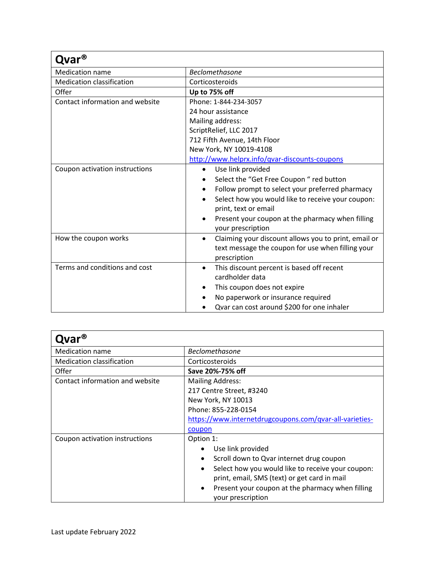| Qvar®                            |                                                                   |
|----------------------------------|-------------------------------------------------------------------|
| <b>Medication name</b>           | <b>Beclomethasone</b>                                             |
| <b>Medication classification</b> | Corticosteroids                                                   |
| Offer                            | Up to 75% off                                                     |
| Contact information and website  | Phone: 1-844-234-3057                                             |
|                                  | 24 hour assistance                                                |
|                                  | Mailing address:                                                  |
|                                  | ScriptRelief, LLC 2017                                            |
|                                  | 712 Fifth Avenue, 14th Floor                                      |
|                                  | New York, NY 10019-4108                                           |
|                                  | http://www.helprx.info/qvar-discounts-coupons                     |
| Coupon activation instructions   | Use link provided<br>$\bullet$                                    |
|                                  | Select the "Get Free Coupon " red button                          |
|                                  | Follow prompt to select your preferred pharmacy<br>$\bullet$      |
|                                  | Select how you would like to receive your coupon:<br>$\bullet$    |
|                                  | print, text or email                                              |
|                                  | Present your coupon at the pharmacy when filling                  |
|                                  | your prescription                                                 |
| How the coupon works             | Claiming your discount allows you to print, email or<br>$\bullet$ |
|                                  | text message the coupon for use when filling your                 |
|                                  | prescription                                                      |
| Terms and conditions and cost    | This discount percent is based off recent<br>$\bullet$            |
|                                  | cardholder data                                                   |
|                                  | This coupon does not expire                                       |
|                                  | No paperwork or insurance required                                |
|                                  | Qvar can cost around \$200 for one inhaler                        |

| var®                             |                                                                                    |
|----------------------------------|------------------------------------------------------------------------------------|
| <b>Medication name</b>           | <b>Beclomethasone</b>                                                              |
| <b>Medication classification</b> | Corticosteroids                                                                    |
| Offer                            | Save 20%-75% off                                                                   |
| Contact information and website  | <b>Mailing Address:</b>                                                            |
|                                  | 217 Centre Street, #3240                                                           |
|                                  | New York, NY 10013                                                                 |
|                                  | Phone: 855-228-0154                                                                |
|                                  | https://www.internetdrugcoupons.com/qvar-all-varieties-                            |
|                                  | coupon                                                                             |
| Coupon activation instructions   | Option 1:                                                                          |
|                                  | Use link provided                                                                  |
|                                  | Scroll down to Qvar internet drug coupon                                           |
|                                  | Select how you would like to receive your coupon:<br>$\bullet$                     |
|                                  | print, email, SMS (text) or get card in mail                                       |
|                                  | Present your coupon at the pharmacy when filling<br>$\bullet$<br>your prescription |